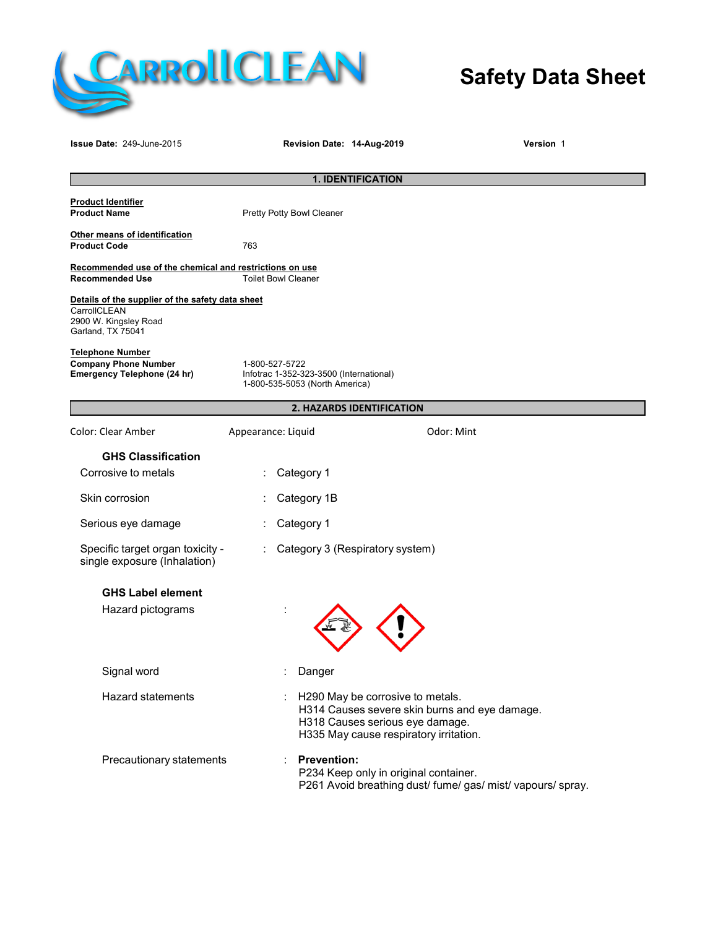

# **Safety Data Sheet**

| <b>Issue Date: 249-June-2015</b>                                                                               |                    | Revision Date: 14-Aug-2019                                                                  |                                                                                                               | <b>Version 1</b>                                            |
|----------------------------------------------------------------------------------------------------------------|--------------------|---------------------------------------------------------------------------------------------|---------------------------------------------------------------------------------------------------------------|-------------------------------------------------------------|
| <b>1. IDENTIFICATION</b>                                                                                       |                    |                                                                                             |                                                                                                               |                                                             |
| <b>Product Identifier</b><br><b>Product Name</b>                                                               |                    | Pretty Potty Bowl Cleaner                                                                   |                                                                                                               |                                                             |
| Other means of identification<br><b>Product Code</b>                                                           | 763                |                                                                                             |                                                                                                               |                                                             |
| Recommended use of the chemical and restrictions on use<br><b>Recommended Use</b>                              |                    | <b>Toilet Bowl Cleaner</b>                                                                  |                                                                                                               |                                                             |
| Details of the supplier of the safety data sheet<br>CarrollCLEAN<br>2900 W. Kingsley Road<br>Garland, TX 75041 |                    |                                                                                             |                                                                                                               |                                                             |
| <b>Telephone Number</b><br><b>Company Phone Number</b><br>Emergency Telephone (24 hr)                          |                    | 1-800-527-5722<br>Infotrac 1-352-323-3500 (International)<br>1-800-535-5053 (North America) |                                                                                                               |                                                             |
| 2. HAZARDS IDENTIFICATION                                                                                      |                    |                                                                                             |                                                                                                               |                                                             |
| Color: Clear Amber                                                                                             | Appearance: Liquid |                                                                                             |                                                                                                               | Odor: Mint                                                  |
| <b>GHS Classification</b>                                                                                      |                    |                                                                                             |                                                                                                               |                                                             |
| Corrosive to metals                                                                                            |                    | Category 1                                                                                  |                                                                                                               |                                                             |
| Skin corrosion                                                                                                 |                    | Category 1B                                                                                 |                                                                                                               |                                                             |
| Serious eye damage                                                                                             |                    | Category 1                                                                                  |                                                                                                               |                                                             |
| Specific target organ toxicity -<br>single exposure (Inhalation)                                               |                    |                                                                                             | Category 3 (Respiratory system)                                                                               |                                                             |
| <b>GHS Label element</b>                                                                                       |                    |                                                                                             |                                                                                                               |                                                             |
| Hazard pictograms                                                                                              |                    |                                                                                             |                                                                                                               |                                                             |
| Signal word                                                                                                    |                    | Danger                                                                                      |                                                                                                               |                                                             |
| Hazard statements                                                                                              |                    |                                                                                             | H290 May be corrosive to metals.<br>H318 Causes serious eye damage.<br>H335 May cause respiratory irritation. | H314 Causes severe skin burns and eye damage.               |
| Precautionary statements                                                                                       |                    | <b>Prevention:</b>                                                                          | P234 Keep only in original container.                                                                         | P261 Avoid breathing dust/ fume/ gas/ mist/ vapours/ spray. |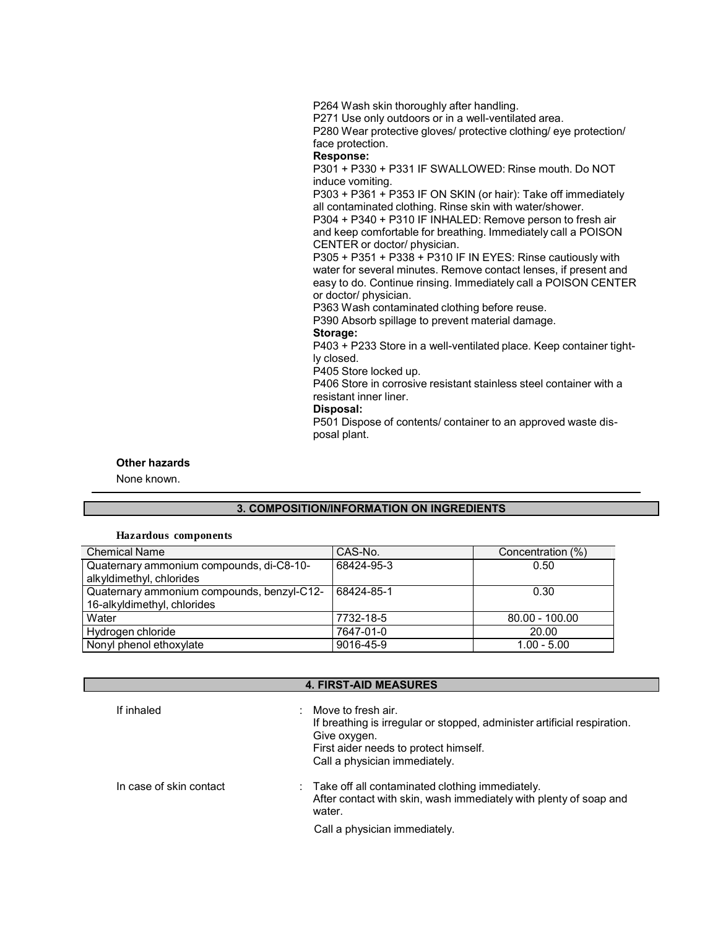P271 Use only outdoors or in a well-ventilated area. P280 Wear protective gloves/ protective clothing/ eye protection/ face protection. **Response:** P301 + P330 + P331 IF SWALLOWED: Rinse mouth. Do NOT induce vomiting. P303 + P361 + P353 IF ON SKIN (or hair): Take off immediately all contaminated clothing. Rinse skin with water/shower. P304 + P340 + P310 IF INHALED: Remove person to fresh air and keep comfortable for breathing. Immediately call a POISON CENTER or doctor/ physician. P305 + P351 + P338 + P310 IF IN EYES: Rinse cautiously with water for several minutes. Remove contact lenses, if present and easy to do. Continue rinsing. Immediately call a POISON CENTER or doctor/ physician. P363 Wash contaminated clothing before reuse. P390 Absorb spillage to prevent material damage. **Storage:** P403 + P233 Store in a well-ventilated place. Keep container tightly closed. P405 Store locked up.

P264 Wash skin thoroughly after handling.

P406 Store in corrosive resistant stainless steel container with a resistant inner liner. **Disposal:**

P501 Dispose of contents/ container to an approved waste disposal plant.

#### **Other hazards**

None known.

### **3. COMPOSITION/INFORMATION ON INGREDIENTS**

#### **Hazardous components**

| <b>Chemical Name</b>                       | CAS-No.    | Concentration (%) |
|--------------------------------------------|------------|-------------------|
| Quaternary ammonium compounds, di-C8-10-   | 68424-95-3 | 0.50              |
| alkyldimethyl, chlorides                   |            |                   |
| Quaternary ammonium compounds, benzyl-C12- | 68424-85-1 | 0.30              |
| 16-alkyldimethyl, chlorides                |            |                   |
| Water                                      | 7732-18-5  | $80.00 - 100.00$  |
| Hydrogen chloride                          | 7647-01-0  | 20.00             |
| Nonyl phenol ethoxylate                    | 9016-45-9  | $1.00 - 5.00$     |

| <b>4. FIRST-AID MEASURES</b> |                                                                                                                                                                                                       |  |
|------------------------------|-------------------------------------------------------------------------------------------------------------------------------------------------------------------------------------------------------|--|
| If inhaled                   | $\therefore$ Move to fresh air.<br>If breathing is irregular or stopped, administer artificial respiration.<br>Give oxygen.<br>First aider needs to protect himself.<br>Call a physician immediately. |  |
| In case of skin contact      | : Take off all contaminated clothing immediately.<br>After contact with skin, wash immediately with plenty of soap and<br>water.                                                                      |  |
|                              | Call a physician immediately.                                                                                                                                                                         |  |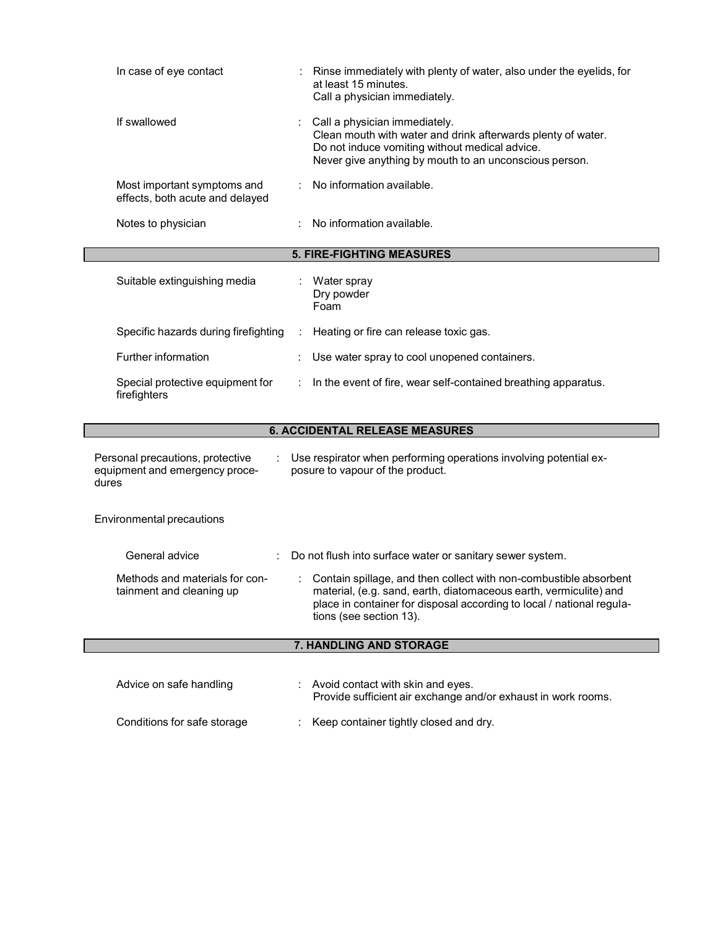| In case of eye contact                                                      | Rinse immediately with plenty of water, also under the eyelids, for<br>at least 15 minutes.<br>Call a physician immediately.                                                                                                               |  |
|-----------------------------------------------------------------------------|--------------------------------------------------------------------------------------------------------------------------------------------------------------------------------------------------------------------------------------------|--|
| If swallowed                                                                | Call a physician immediately.<br>Clean mouth with water and drink afterwards plenty of water.<br>Do not induce vomiting without medical advice.<br>Never give anything by mouth to an unconscious person.                                  |  |
| Most important symptoms and<br>effects, both acute and delayed              | No information available.                                                                                                                                                                                                                  |  |
| Notes to physician                                                          | No information available.                                                                                                                                                                                                                  |  |
|                                                                             | <b>5. FIRE-FIGHTING MEASURES</b>                                                                                                                                                                                                           |  |
| Suitable extinguishing media                                                | Water spray<br>Dry powder<br>Foam                                                                                                                                                                                                          |  |
| Specific hazards during firefighting                                        | Heating or fire can release toxic gas.                                                                                                                                                                                                     |  |
| Further information                                                         | Use water spray to cool unopened containers.                                                                                                                                                                                               |  |
| Special protective equipment for<br>firefighters                            | In the event of fire, wear self-contained breathing apparatus.                                                                                                                                                                             |  |
|                                                                             | <b>6. ACCIDENTAL RELEASE MEASURES</b>                                                                                                                                                                                                      |  |
| Personal precautions, protective<br>equipment and emergency proce-<br>dures | : Use respirator when performing operations involving potential ex-<br>posure to vapour of the product.                                                                                                                                    |  |
| Environmental precautions                                                   |                                                                                                                                                                                                                                            |  |
| General advice                                                              | : Do not flush into surface water or sanitary sewer system.                                                                                                                                                                                |  |
| Methods and materials for con-<br>tainment and cleaning up                  | Contain spillage, and then collect with non-combustible absorbent<br>material, (e.g. sand, earth, diatomaceous earth, vermiculite) and<br>place in container for disposal according to local / national regula-<br>tions (see section 13). |  |
|                                                                             | 7. HANDLING AND STORAGE                                                                                                                                                                                                                    |  |
| Advice on safe handling                                                     | Avoid contact with skin and eyes.<br>Provide sufficient air exchange and/or exhaust in work rooms.                                                                                                                                         |  |
| Conditions for safe storage                                                 |                                                                                                                                                                                                                                            |  |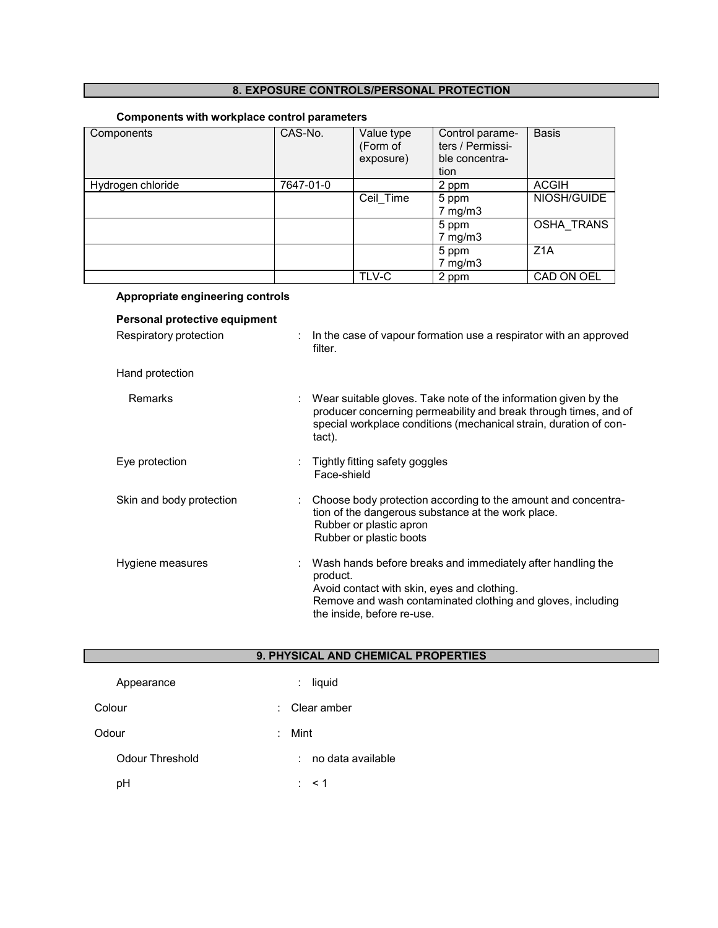# **8. EXPOSURE CONTROLS/PERSONAL PROTECTION**

# **Components with workplace control parameters**

| Components        | CAS-No.   | Value type<br>(Form of<br>exposure) | Control parame-<br>ters / Permissi-<br>ble concentra-<br>tion | <b>Basis</b>      |
|-------------------|-----------|-------------------------------------|---------------------------------------------------------------|-------------------|
| Hydrogen chloride | 7647-01-0 |                                     | 2 ppm                                                         | <b>ACGIH</b>      |
|                   |           | Ceil Time                           | 5 ppm                                                         | NIOSH/GUIDE       |
|                   |           |                                     | $7$ mg/m $3$                                                  |                   |
|                   |           |                                     | 5 ppm                                                         | <b>OSHA TRANS</b> |
|                   |           |                                     | $7 \text{ mg/m}$ 3                                            |                   |
|                   |           |                                     | 5 ppm                                                         | Z <sub>1</sub> A  |
|                   |           |                                     | $7$ mg/m $3$                                                  |                   |
|                   |           | TLV-C                               | 2 ppm                                                         | CAD ON OEL        |

| Appropriate engineering controls                        |                                                                                                                                                                                                                     |
|---------------------------------------------------------|---------------------------------------------------------------------------------------------------------------------------------------------------------------------------------------------------------------------|
| Personal protective equipment<br>Respiratory protection | In the case of vapour formation use a respirator with an approved<br>filter.                                                                                                                                        |
| Hand protection                                         |                                                                                                                                                                                                                     |
| <b>Remarks</b>                                          | Wear suitable gloves. Take note of the information given by the<br>producer concerning permeability and break through times, and of<br>special workplace conditions (mechanical strain, duration of con-<br>tact).  |
| Eye protection                                          | Tightly fitting safety goggles<br>Face-shield                                                                                                                                                                       |
| Skin and body protection                                | Choose body protection according to the amount and concentra-<br>tion of the dangerous substance at the work place.<br>Rubber or plastic apron<br>Rubber or plastic boots                                           |
| Hygiene measures                                        | Wash hands before breaks and immediately after handling the<br>product.<br>Avoid contact with skin, eyes and clothing.<br>Remove and wash contaminated clothing and gloves, including<br>the inside, before re-use. |

| 9. PHYSICAL AND CHEMICAL PROPERTIES |                             |  |
|-------------------------------------|-----------------------------|--|
| Appearance                          | liquid<br>÷.                |  |
| Colour                              | $\therefore$ Clear amber    |  |
| Odour                               | : Mint                      |  |
| <b>Odour Threshold</b>              | no data available<br>$\sim$ |  |
| pH                                  | $:$ < 1                     |  |
|                                     |                             |  |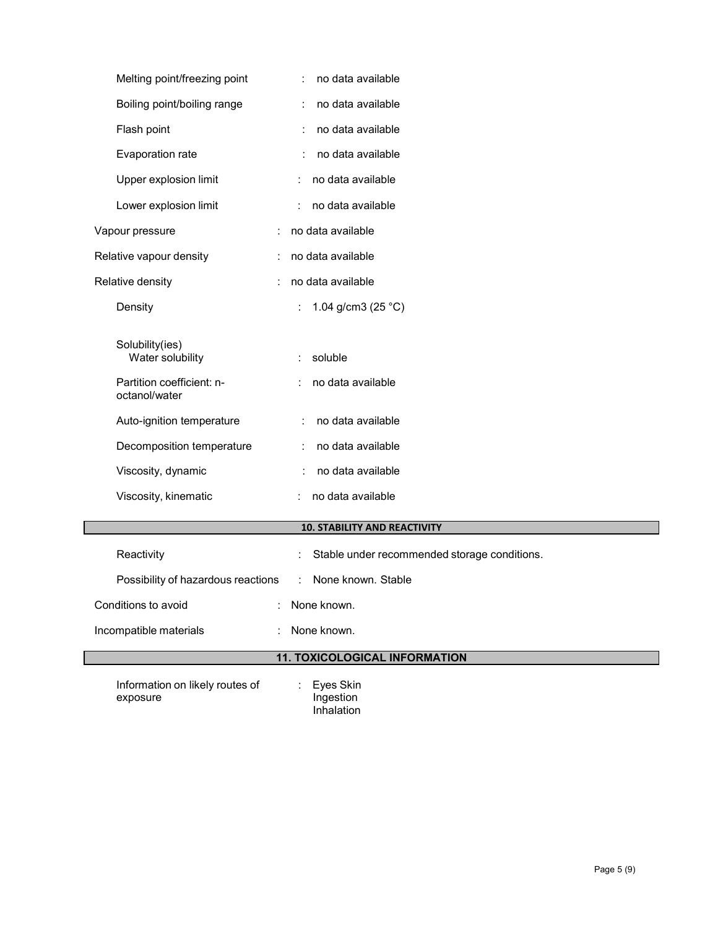| Melting point/freezing point                | no data available                                      |  |
|---------------------------------------------|--------------------------------------------------------|--|
| Boiling point/boiling range                 | no data available                                      |  |
| Flash point                                 | no data available                                      |  |
| Evaporation rate                            | no data available                                      |  |
| Upper explosion limit                       | no data available                                      |  |
| Lower explosion limit                       | no data available                                      |  |
| Vapour pressure                             | no data available                                      |  |
| Relative vapour density                     | no data available                                      |  |
| Relative density                            | no data available                                      |  |
| Density                                     | 1.04 g/cm3 (25 $°C$ )<br>÷                             |  |
|                                             |                                                        |  |
| Solubility(ies)<br>Water solubility         | soluble                                                |  |
| Partition coefficient: n-<br>octanol/water  | no data available                                      |  |
| Auto-ignition temperature                   | no data available                                      |  |
| Decomposition temperature                   | no data available                                      |  |
| Viscosity, dynamic                          | no data available                                      |  |
| Viscosity, kinematic                        | no data available                                      |  |
|                                             | <b>10. STABILITY AND REACTIVITY</b>                    |  |
| Reactivity                                  | Stable under recommended storage conditions.           |  |
| Possibility of hazardous reactions          | None known. Stable                                     |  |
| Conditions to avoid                         | None known.                                            |  |
| Incompatible materials                      | None known.                                            |  |
| <b>11. TOXICOLOGICAL INFORMATION</b>        |                                                        |  |
| Information on likely routes of<br>exposure | $\ddot{\cdot}$<br>Eyes Skin<br>Ingestion<br>Inhalation |  |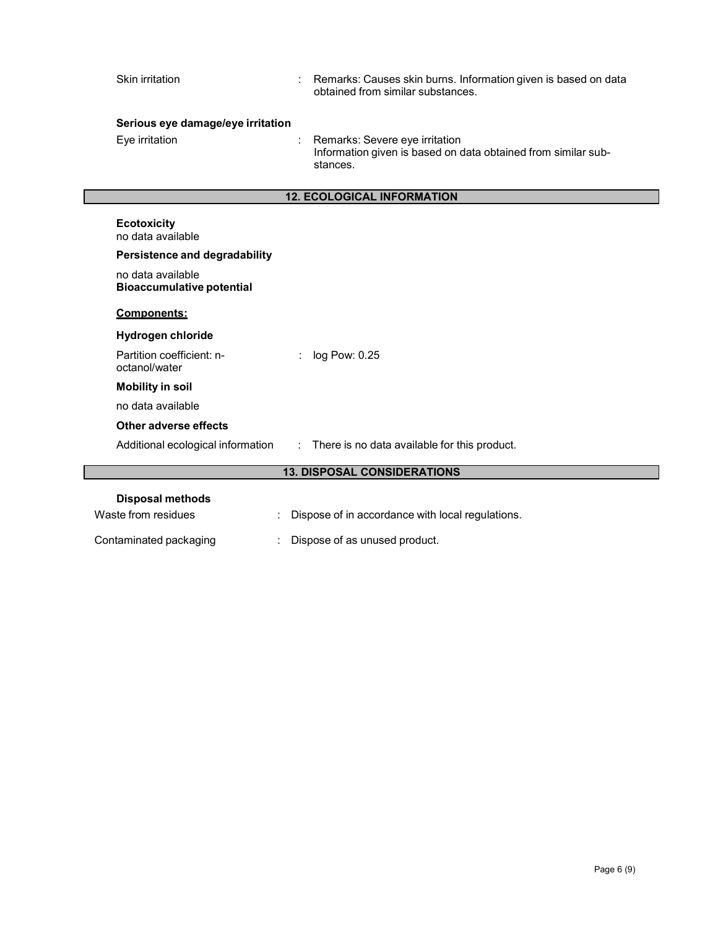| Skin irritation                                       | Remarks: Causes skin burns. Information given is based on data<br>obtained from similar substances.         |
|-------------------------------------------------------|-------------------------------------------------------------------------------------------------------------|
| Serious eye damage/eye irritation                     |                                                                                                             |
| Eye irritation                                        | Remarks: Severe eye irritation<br>Information given is based on data obtained from similar sub-<br>stances. |
|                                                       | <b>12. ECOLOGICAL INFORMATION</b>                                                                           |
| <b>Ecotoxicity</b><br>no data available               |                                                                                                             |
| Persistence and degradability                         |                                                                                                             |
| no data available<br><b>Bioaccumulative potential</b> |                                                                                                             |
| <b>Components:</b>                                    |                                                                                                             |
| <b>Hydrogen chloride</b>                              |                                                                                                             |
| Partition coefficient: n-<br>octanol/water            | log Pow: 0.25                                                                                               |
| <b>Mobility in soil</b>                               |                                                                                                             |
| no data available                                     |                                                                                                             |
| Other adverse effects                                 |                                                                                                             |
| Additional ecological information                     | There is no data available for this product.<br>$\mathbb{Z}^{\times}$                                       |
|                                                       | <b>13. DISPOSAL CONSIDERATIONS</b>                                                                          |
| <b>Disposal methods</b><br>Waste from residues        | Dispose of in accordance with local regulations.                                                            |
|                                                       |                                                                                                             |

Contaminated packaging : Dispose of as unused product.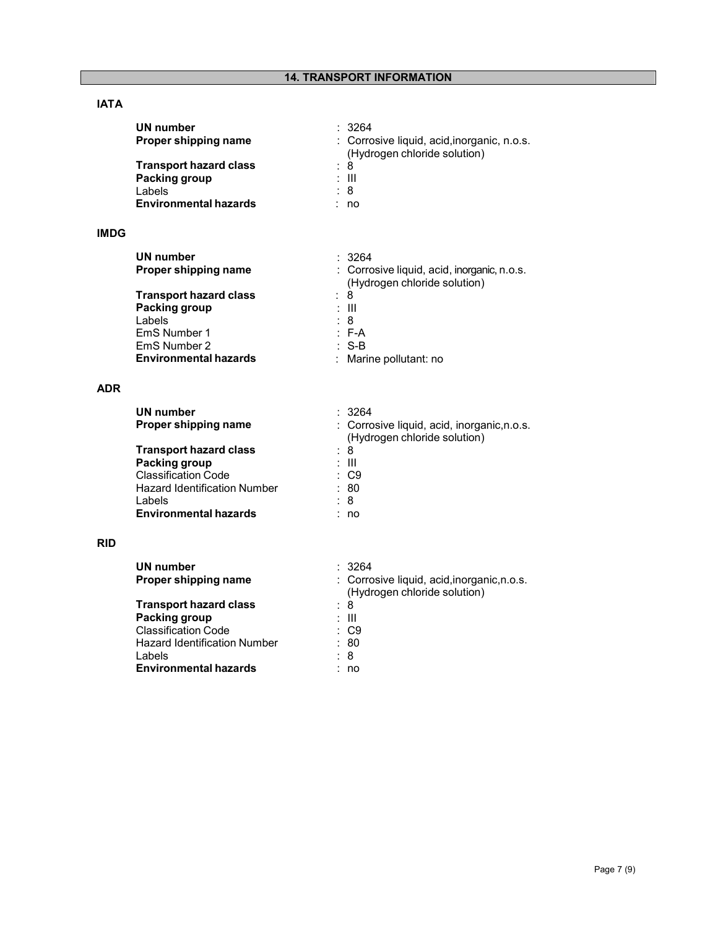# **IATA**

| UN number                     | : 3264                                                                      |
|-------------------------------|-----------------------------------------------------------------------------|
| Proper shipping name          | : Corrosive liquid, acid, inorganic, n.o.s.<br>(Hydrogen chloride solution) |
| <b>Transport hazard class</b> | : 8                                                                         |
| Packing group                 | : III                                                                       |
| Labels                        | : 8                                                                         |
| <b>Environmental hazards</b>  | no                                                                          |

# **IMDG**

| UN number                     | : 3264                                                                      |
|-------------------------------|-----------------------------------------------------------------------------|
| Proper shipping name          | : Corrosive liquid, acid, inorganic, n.o.s.<br>(Hydrogen chloride solution) |
| <b>Transport hazard class</b> | : 8                                                                         |
| Packing group                 | : III                                                                       |
| Labels                        | : 8                                                                         |
| EmS Number 1                  | : F-A                                                                       |
| EmS Number 2                  | $:$ S-B                                                                     |
| <b>Environmental hazards</b>  | Marine pollutant: no<br>÷                                                   |

## **ADR**

| UN number                           | : 3264                                      |
|-------------------------------------|---------------------------------------------|
| Proper shipping name                | : Corrosive liquid, acid, inorganic, n.o.s. |
|                                     | (Hydrogen chloride solution)                |
| <b>Transport hazard class</b>       | : 8                                         |
| Packing group                       | : III                                       |
| <b>Classification Code</b>          | $\therefore$ C9                             |
| <b>Hazard Identification Number</b> | : 80                                        |
| Labels                              | : 8                                         |
| <b>Environmental hazards</b>        | no                                          |

### **RID**

| UN number<br>Proper shipping name   | : 3264<br>: Corrosive liquid, acid, inorganic, n.o.s.<br>(Hydrogen chloride solution) |
|-------------------------------------|---------------------------------------------------------------------------------------|
| <b>Transport hazard class</b>       | : 8                                                                                   |
| Packing group                       | : III                                                                                 |
| <b>Classification Code</b>          | $\therefore$ C9                                                                       |
| <b>Hazard Identification Number</b> | :80                                                                                   |
| Labels                              | : 8                                                                                   |
| <b>Environmental hazards</b>        | no                                                                                    |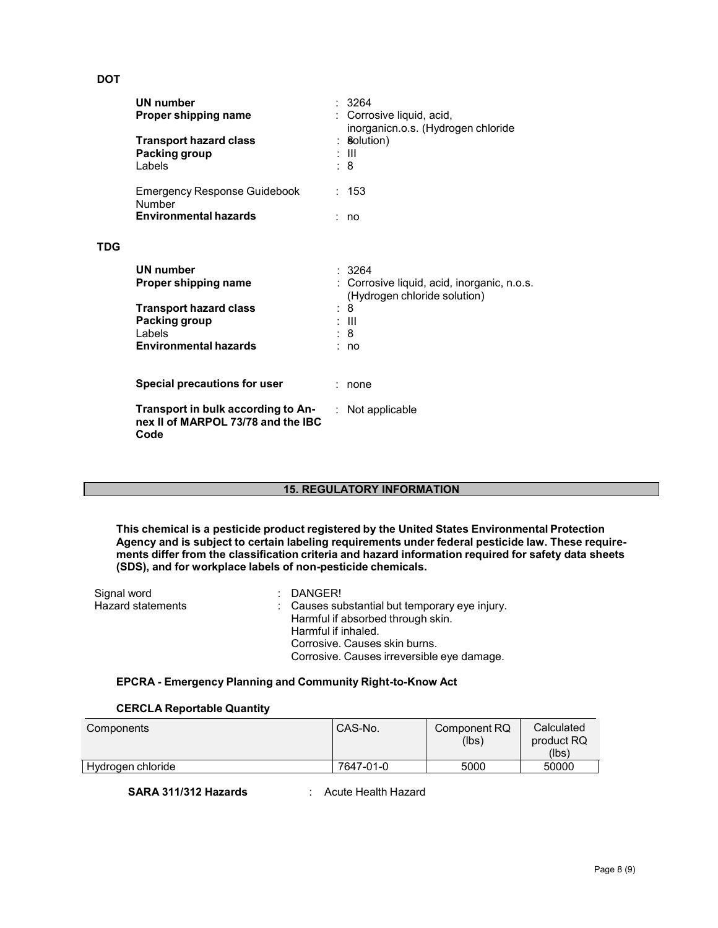# **DOT**

**TDG**

| UN number<br>Proper shipping name<br><b>Transport hazard class</b><br>Packing group<br>Labels                                               | 3264<br>Corrosive liquid, acid,<br>inorganicn.o.s. (Hydrogen chloride<br><b>Solution</b> )<br>: III<br>: 8     |
|---------------------------------------------------------------------------------------------------------------------------------------------|----------------------------------------------------------------------------------------------------------------|
| <b>Emergency Response Guidebook</b><br>Number<br><b>Environmental hazards</b>                                                               | : 153<br>no n                                                                                                  |
| <b>UN number</b><br>Proper shipping name<br><b>Transport hazard class</b><br><b>Packing group</b><br>Labels<br><b>Environmental hazards</b> | : 3264<br>Corrosive liquid, acid, inorganic, n.o.s.<br>(Hydrogen chloride solution)<br>8<br>- 111<br>: 8<br>no |
| Special precautions for user                                                                                                                | none                                                                                                           |
| Transport in bulk according to An-<br>nex II of MARPOL 73/78 and the IBC<br>Code                                                            | Not applicable                                                                                                 |

#### **15. REGULATORY INFORMATION**

**This chemical is a pesticide product registered by the United States Environmental Protection Agency and is subject to certain labeling requirements under federal pesticide law. These requirements differ from the classification criteria and hazard information required for safety data sheets (SDS), and for workplace labels of non-pesticide chemicals.**

| Signal word       | $\therefore$ DANGER!                           |
|-------------------|------------------------------------------------|
| Hazard statements | : Causes substantial but temporary eye injury. |
|                   | Harmful if absorbed through skin.              |
|                   | Harmful if inhaled.                            |
|                   | Corrosive. Causes skin burns.                  |
|                   | Corrosive. Causes irreversible eye damage.     |

#### **EPCRA - Emergency Planning and Community Right-to-Know Act**

## **CERCLA Reportable Quantity**

| Components        | CAS-No.   | Component RQ<br>(lbs) | Calculated<br>product RQ<br>(lbs) |
|-------------------|-----------|-----------------------|-----------------------------------|
| Hydrogen chloride | 7647-01-0 | 5000                  | 50000                             |

**SARA 311/312 Hazards** : Acute Health Hazard